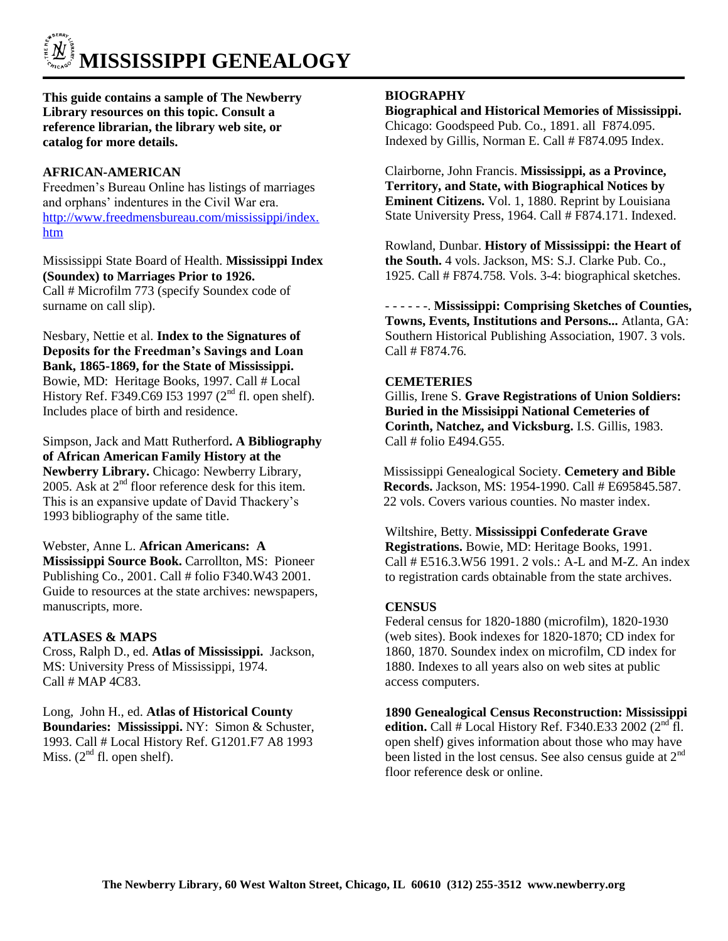# **MISSISSIPPI GENEALOGY**

**This guide contains a sample of The Newberry Library resources on this topic. Consult a reference librarian, the library web site, or catalog for more details.**

# **AFRICAN-AMERICAN**

Freedmen's Bureau Online has listings of marriages and orphans' indentures in the Civil War era. [http://www.freedmensbureau.com/mississippi/index.](http://www.freedmensbureau.com/mississippi/index.htm) [htm](http://www.freedmensbureau.com/mississippi/index.htm)

Mississippi State Board of Health. **Mississippi Index (Soundex) to Marriages Prior to 1926.**  Call # Microfilm 773 (specify Soundex code of surname on call slip).

Nesbary, Nettie et al. **Index to the Signatures of Deposits for the Freedman's Savings and Loan Bank, 1865-1869, for the State of Mississippi.** Bowie, MD: Heritage Books, 1997. Call # Local History Ref. F349.C69 I53 1997 ( $2<sup>nd</sup>$  fl. open shelf). Includes place of birth and residence.

Simpson, Jack and Matt Rutherford**. A Bibliography of African American Family History at the Newberry Library.** Chicago: Newberry Library, 2005. Ask at  $2<sup>nd</sup>$  floor reference desk for this item. This is an expansive update of David Thackery's 1993 bibliography of the same title.

Webster, Anne L. **African Americans: A Mississippi Source Book.** Carrollton, MS: Pioneer Publishing Co., 2001. Call # folio F340.W43 2001. Guide to resources at the state archives: newspapers, manuscripts, more.

# **ATLASES & MAPS**

Cross, Ralph D., ed. **Atlas of Mississippi.** Jackson, MS: University Press of Mississippi, 1974. Call # MAP 4C83.

Long, John H., ed. **Atlas of Historical County Boundaries: Mississippi.** NY: Simon & Schuster, 1993. Call # Local History Ref. G1201.F7 A8 1993 Miss.  $(2<sup>nd</sup>$  fl. open shelf).

# **BIOGRAPHY**

**Biographical and Historical Memories of Mississippi.**  Chicago: Goodspeed Pub. Co., 1891. all F874.095. Indexed by Gillis, Norman E. Call # F874.095 Index.

Clairborne, John Francis. **Mississippi, as a Province, Territory, and State, with Biographical Notices by Eminent Citizens.** Vol. 1, 1880. Reprint by Louisiana State University Press, 1964. Call # F874.171. Indexed.

Rowland, Dunbar. **History of Mississippi: the Heart of the South.** 4 vols. Jackson, MS: S.J. Clarke Pub. Co., 1925. Call # F874.758. Vols. 3-4: biographical sketches.

- - - - - -. **Mississippi: Comprising Sketches of Counties, Towns, Events, Institutions and Persons...** Atlanta, GA: Southern Historical Publishing Association, 1907. 3 vols. Call # F874.76.

## **CEMETERIES**

Gillis, Irene S. **Grave Registrations of Union Soldiers: Buried in the Missisippi National Cemeteries of Corinth, Natchez, and Vicksburg.** I.S. Gillis, 1983. Call # folio E494.G55.

Mississippi Genealogical Society. **Cemetery and Bible Records.** Jackson, MS: 1954-1990. Call # E695845.587. 22 vols. Covers various counties. No master index.

Wiltshire, Betty. **Mississippi Confederate Grave Registrations.** Bowie, MD: Heritage Books, 1991. Call # E516.3.W56 1991. 2 vols.: A-L and M-Z. An index to registration cards obtainable from the state archives.

## **CENSUS**

Federal census for 1820-1880 (microfilm), 1820-1930 (web sites). Book indexes for 1820-1870; CD index for 1860, 1870. Soundex index on microfilm, CD index for 1880. Indexes to all years also on web sites at public access computers.

**1890 Genealogical Census Reconstruction: Mississippi edition.** Call # Local History Ref. F340.E33 2002 ( $2<sup>nd</sup>$  fl. open shelf) gives information about those who may have been listed in the lost census. See also census guide at  $2<sup>nd</sup>$ floor reference desk or online.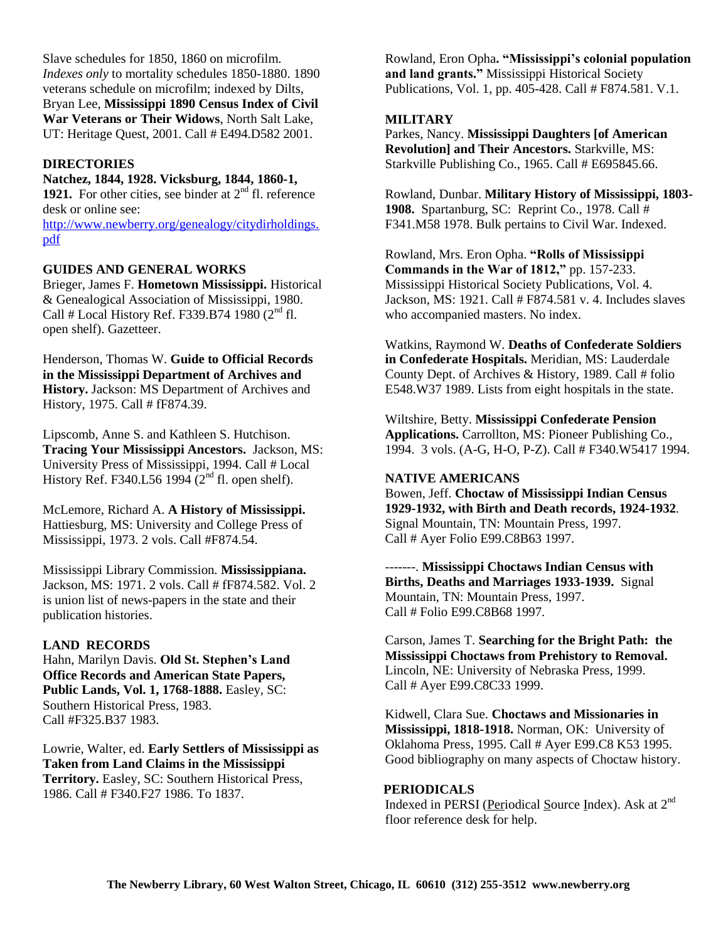Slave schedules for 1850, 1860 on microfilm. *Indexes only* to mortality schedules 1850-1880. 1890 veterans schedule on microfilm; indexed by Dilts, Bryan Lee, **Mississippi 1890 Census Index of Civil War Veterans or Their Widows**, North Salt Lake, UT: Heritage Quest, 2001. Call # E494.D582 2001.

## **DIRECTORIES**

# **Natchez, 1844, 1928. Vicksburg, 1844, 1860-1,**

**1921.** For other cities, see binder at 2<sup>nd</sup> fl. reference desk or online see:

[http://www.newberry.org/genealogy/citydirholdings.](http://www.newberry.org/genealogy/citydirholdings.pdf) [pdf](http://www.newberry.org/genealogy/citydirholdings.pdf)

#### **GUIDES AND GENERAL WORKS**

Brieger, James F. **Hometown Mississippi.** Historical & Genealogical Association of Mississippi, 1980. Call # Local History Ref. F339.B74 1980  $(2<sup>nd</sup>$  fl. open shelf). Gazetteer.

Henderson, Thomas W. **Guide to Official Records in the Mississippi Department of Archives and History.** Jackson: MS Department of Archives and History, 1975. Call # fF874.39.

Lipscomb, Anne S. and Kathleen S. Hutchison. **Tracing Your Mississippi Ancestors.** Jackson, MS: University Press of Mississippi, 1994. Call # Local History Ref. F340.L56 1994  $(2<sup>nd</sup>$  fl. open shelf).

McLemore, Richard A. **A History of Mississippi.**  Hattiesburg, MS: University and College Press of Mississippi, 1973. 2 vols. Call #F874.54.

Mississippi Library Commission. **Mississippiana.** Jackson, MS: 1971. 2 vols. Call # fF874.582. Vol. 2 is union list of news-papers in the state and their publication histories.

#### **LAND RECORDS**

Hahn, Marilyn Davis. **Old St. Stephen's Land Office Records and American State Papers, Public Lands, Vol. 1, 1768-1888.** Easley, SC: Southern Historical Press, 1983. Call #F325.B37 1983.

Lowrie, Walter, ed. **Early Settlers of Mississippi as Taken from Land Claims in the Mississippi Territory.** Easley, SC: Southern Historical Press, 1986. Call # F340.F27 1986. To 1837.

Rowland, Eron Opha**. "Mississippi's colonial population and land grants."** Mississippi Historical Society Publications, Vol. 1, pp. 405-428. Call # F874.581. V.1.

#### **MILITARY**

Parkes, Nancy. **Mississippi Daughters [of American Revolution] and Their Ancestors.** Starkville, MS: Starkville Publishing Co., 1965. Call # E695845.66.

Rowland, Dunbar. **Military History of Mississippi, 1803- 1908.** Spartanburg, SC: Reprint Co., 1978. Call # F341.M58 1978. Bulk pertains to Civil War. Indexed.

Rowland, Mrs. Eron Opha. **"Rolls of Mississippi Commands in the War of 1812,"** pp. 157-233. Mississippi Historical Society Publications, Vol. 4. Jackson, MS: 1921. Call # F874.581 v. 4. Includes slaves who accompanied masters. No index.

Watkins, Raymond W. **Deaths of Confederate Soldiers in Confederate Hospitals.** Meridian, MS: Lauderdale County Dept. of Archives & History, 1989. Call # folio E548.W37 1989. Lists from eight hospitals in the state.

Wiltshire, Betty. **Mississippi Confederate Pension Applications.** Carrollton, MS: Pioneer Publishing Co., 1994. 3 vols. (A-G, H-O, P-Z). Call # F340.W5417 1994.

#### **NATIVE AMERICANS**

Bowen, Jeff. **Choctaw of Mississippi Indian Census 1929-1932, with Birth and Death records, 1924-1932**. Signal Mountain, TN: Mountain Press, 1997. Call # Ayer Folio E99.C8B63 1997.

-------. **Mississippi Choctaws Indian Census with Births, Deaths and Marriages 1933-1939.** Signal Mountain, TN: Mountain Press, 1997. Call # Folio E99.C8B68 1997.

Carson, James T. **Searching for the Bright Path: the Mississippi Choctaws from Prehistory to Removal.**  Lincoln, NE: University of Nebraska Press, 1999. Call # Ayer E99.C8C33 1999.

Kidwell, Clara Sue. **Choctaws and Missionaries in Mississippi, 1818-1918.** Norman, OK: University of Oklahoma Press, 1995. Call # Ayer E99.C8 K53 1995. Good bibliography on many aspects of Choctaw history.

#### **PERIODICALS**

Indexed in PERSI (Periodical Source Index). Ask at 2nd floor reference desk for help.